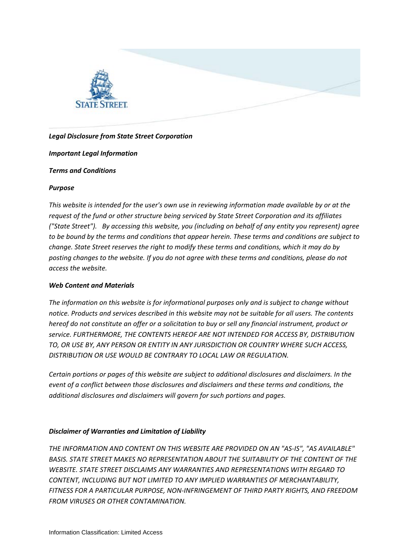

# *Legal Disclosure from State Street Corporation*

## *Important Legal Information*

## *Terms and Conditions*

## *Purpose*

*This website is intended for the user's own use in reviewing information made available by or at the request of the fund or other structure being serviced by State Street Corporation and its affiliates ("State Street"). By accessing this website, you (including on behalf of any entity you represent) agree to be bound by the terms and conditions that appear herein. These terms and conditions are subject to change. State Street reserves the right to modify these terms and conditions, which it may do by posting changes to the website. If you do not agree with these terms and conditions, please do not access the website.*

## *Web Content and Materials*

*The information on this website is for informational purposes only and is subject to change without notice. Products and services described in this website may not be suitable for all users. The contents hereof do not constitute an offer or a solicitation to buy or sell any financial instrument, product or service. FURTHERMORE, THE CONTENTS HEREOF ARE NOT INTENDED FOR ACCESS BY, DISTRIBUTION TO, OR USE BY, ANY PERSON OR ENTITY IN ANY JURISDICTION OR COUNTRY WHERE SUCH ACCESS, DISTRIBUTION OR USE WOULD BE CONTRARY TO LOCAL LAW OR REGULATION.*

*Certain portions or pages of this website are subject to additional disclosures and disclaimers. In the event of a conflict between those disclosures and disclaimers and these terms and conditions, the additional disclosures and disclaimers will govern for such portions and pages.*

## *Disclaimer of Warranties and Limitation of Liability*

*THE INFORMATION AND CONTENT ON THIS WEBSITE ARE PROVIDED ON AN "AS-IS", "AS AVAILABLE" BASIS. STATE STREET MAKES NO REPRESENTATION ABOUT THE SUITABILITY OF THE CONTENT OF THE WEBSITE. STATE STREET DISCLAIMS ANY WARRANTIES AND REPRESENTATIONS WITH REGARD TO CONTENT, INCLUDING BUT NOT LIMITED TO ANY IMPLIED WARRANTIES OF MERCHANTABILITY, FITNESS FOR A PARTICULAR PURPOSE, NON-INFRINGEMENT OF THIRD PARTY RIGHTS, AND FREEDOM FROM VIRUSES OR OTHER CONTAMINATION.*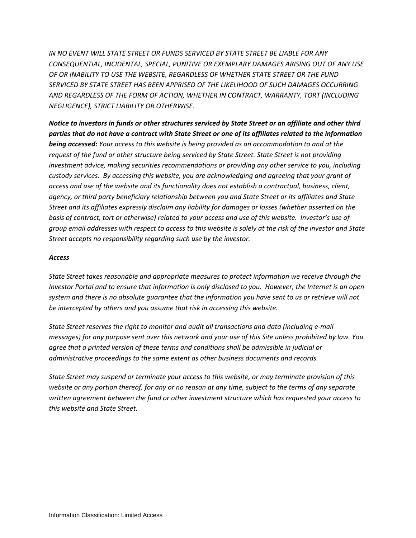*IN NO EVENT WILL STATE STREET OR FUNDS SERVICED BY STATE STREET BE LIABLE FOR ANY CONSEQUENTIAL, INCIDENTAL, SPECIAL, PUNITIVE OR EXEMPLARY DAMAGES ARISING OUT OF ANY USE OF OR INABILITY TO USE THE WEBSITE, REGARDLESS OF WHETHER STATE STREET OR THE FUND SERVICED BY STATE STREET HAS BEEN APPRISED OF THE LIKELIHOOD OF SUCH DAMAGES OCCURRING AND REGARDLESS OF THE FORM OF ACTION, WHETHER IN CONTRACT, WARRANTY, TORT (INCLUDING NEGLIGENCE), STRICT LIABILITY OR OTHERWISE.*

*Notice to investors in funds or other structures serviced by State Street or an affiliate and other third parties that do not have a contract with State Street or one of its affiliates related to the information being accessed: Your access to this website is being provided as an accommodation to and at the request of the fund or other structure being serviced by State Street. State Street is not providing investment advice, making securities recommendations or providing any other service to you, including custody services. By accessing this website, you are acknowledging and agreeing that your grant of access and use of the website and its functionality does not establish a contractual, business, client, agency, or third party beneficiary relationship between you and State Street or its affiliates and State Street and its affiliates expressly disclaim any liability for damages or losses (whether asserted on the basis of contract, tort or otherwise) related to your access and use of this website. Investor's use of group email addresses with respect to access to this website is solely at the risk of the investor and State Street accepts no responsibility regarding such use by the investor.* 

## *Access*

*State Street takes reasonable and appropriate measures to protect information we receive through the Investor Portal and to ensure that information is only disclosed to you. However, the Internet is an open system and there is no absolute guarantee that the information you have sent to us or retrieve will not be intercepted by others and you assume that risk in accessing this website.*

*State Street reserves the right to monitor and audit all transactions and data (including e-mail messages) for any purpose sent over this network and your use of this Site unless prohibited by law. You agree that a printed version of these terms and conditions shall be admissible in judicial or administrative proceedings to the same extent as other business documents and records.*

*State Street may suspend or terminate your access to this website, or may terminate provision of this website or any portion thereof, for any or no reason at any time, subject to the terms of any separate written agreement between the fund or other investment structure which has requested your access to this website and State Street.*